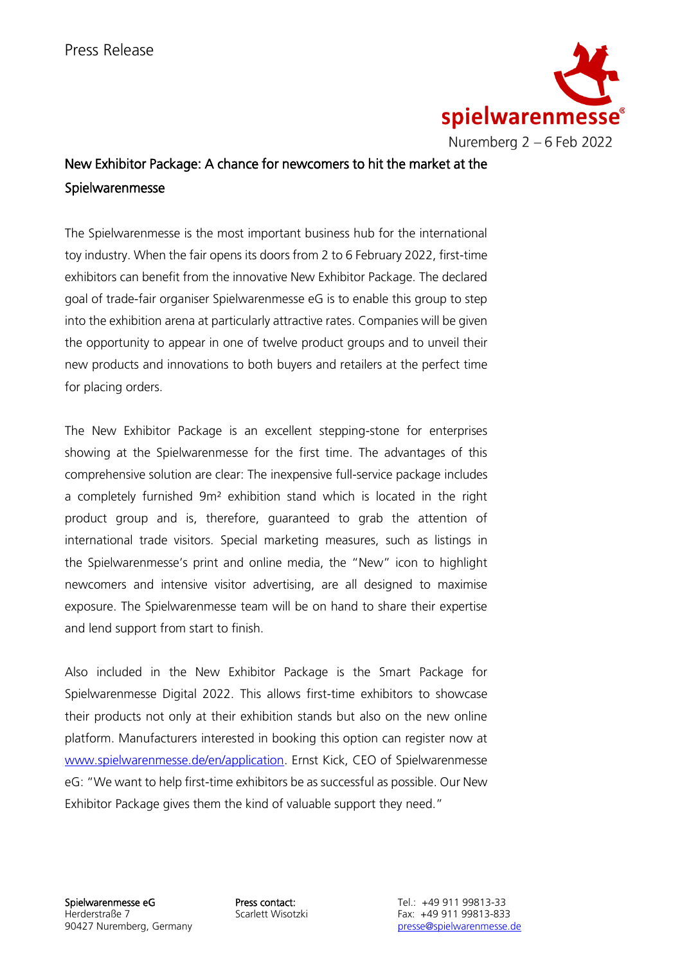

## New Exhibitor Package: A chance for newcomers to hit the market at the Spielwarenmesse

The Spielwarenmesse is the most important business hub for the international toy industry. When the fair opens its doors from 2 to 6 February 2022, first-time exhibitors can benefit from the innovative New Exhibitor Package. The declared goal of trade-fair organiser Spielwarenmesse eG is to enable this group to step into the exhibition arena at particularly attractive rates. Companies will be given the opportunity to appear in one of twelve product groups and to unveil their new products and innovations to both buyers and retailers at the perfect time for placing orders.

The New Exhibitor Package is an excellent stepping-stone for enterprises showing at the Spielwarenmesse for the first time. The advantages of this comprehensive solution are clear: The inexpensive full-service package includes a completely furnished 9m² exhibition stand which is located in the right product group and is, therefore, guaranteed to grab the attention of international trade visitors. Special marketing measures, such as listings in the Spielwarenmesse's print and online media, the "New" icon to highlight newcomers and intensive visitor advertising, are all designed to maximise exposure. The Spielwarenmesse team will be on hand to share their expertise and lend support from start to finish.

Also included in the New Exhibitor Package is the Smart Package for Spielwarenmesse Digital 2022. This allows first-time exhibitors to showcase their products not only at their exhibition stands but also on the new online platform. Manufacturers interested in booking this option can register now at [www.spielwarenmesse.de/en/application.](http://www.spielwarenmesse.de/en/application) Ernst Kick, CEO of Spielwarenmesse eG: "We want to help first-time exhibitors be as successful as possible. Our New Exhibitor Package gives them the kind of valuable support they need."